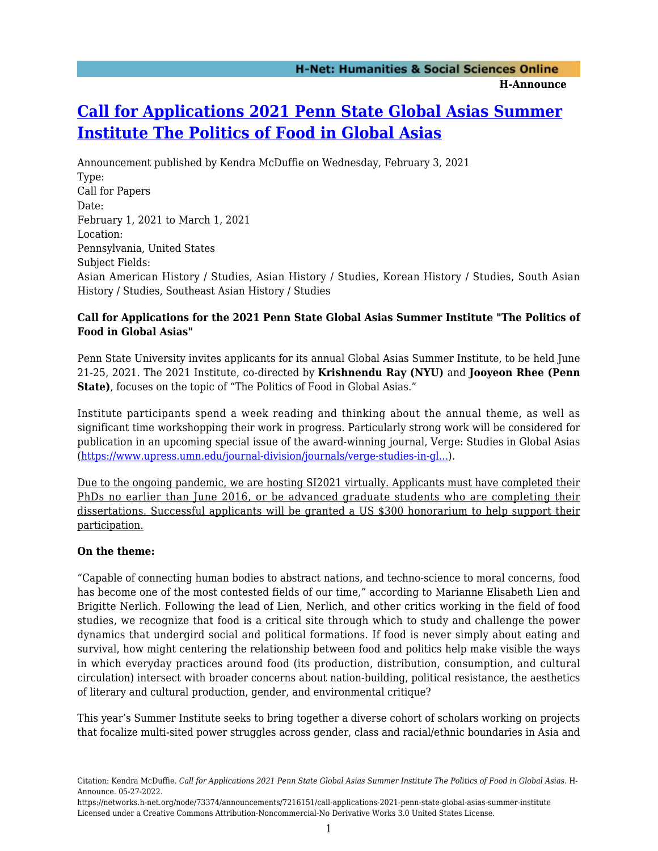# **[Call for Applications 2021 Penn State Global Asias Summer](https://networks.h-net.org/node/73374/announcements/7216151/call-applications-2021-penn-state-global-asias-summer-institute) [Institute The Politics of Food in Global Asias](https://networks.h-net.org/node/73374/announcements/7216151/call-applications-2021-penn-state-global-asias-summer-institute)**

Announcement published by Kendra McDuffie on Wednesday, February 3, 2021 Type: Call for Papers Date: February 1, 2021 to March 1, 2021 Location: Pennsylvania, United States Subject Fields: Asian American History / Studies, Asian History / Studies, Korean History / Studies, South Asian History / Studies, Southeast Asian History / Studies

### **Call for Applications for the 2021 Penn State Global Asias Summer Institute "The Politics of Food in Global Asias"**

Penn State University invites applicants for its annual Global Asias Summer Institute, to be held June 21-25, 2021. The 2021 Institute, co-directed by **Krishnendu Ray (NYU)** and **Jooyeon Rhee (Penn State)**, focuses on the topic of "The Politics of Food in Global Asias."

Institute participants spend a week reading and thinking about the annual theme, as well as significant time workshopping their work in progress. Particularly strong work will be considered for publication in an upcoming special issue of the award-winning journal, Verge: Studies in Global Asias ([https://www.upress.umn.edu/journal-division/journals/verge-studies-in-gl...](https://www.upress.umn.edu/journal-division/journals/verge-studies-in-global-asias)).

Due to the ongoing pandemic, we are hosting SI2021 virtually. Applicants must have completed their PhDs no earlier than June 2016, or be advanced graduate students who are completing their dissertations. Successful applicants will be granted a US \$300 honorarium to help support their participation.

#### **On the theme:**

"Capable of connecting human bodies to abstract nations, and techno-science to moral concerns, food has become one of the most contested fields of our time," according to Marianne Elisabeth Lien and Brigitte Nerlich. Following the lead of Lien, Nerlich, and other critics working in the field of food studies, we recognize that food is a critical site through which to study and challenge the power dynamics that undergird social and political formations. If food is never simply about eating and survival, how might centering the relationship between food and politics help make visible the ways in which everyday practices around food (its production, distribution, consumption, and cultural circulation) intersect with broader concerns about nation-building, political resistance, the aesthetics of literary and cultural production, gender, and environmental critique?

This year's Summer Institute seeks to bring together a diverse cohort of scholars working on projects that focalize multi-sited power struggles across gender, class and racial/ethnic boundaries in Asia and

Citation: Kendra McDuffie. *Call for Applications 2021 Penn State Global Asias Summer Institute The Politics of Food in Global Asias*. H-Announce. 05-27-2022.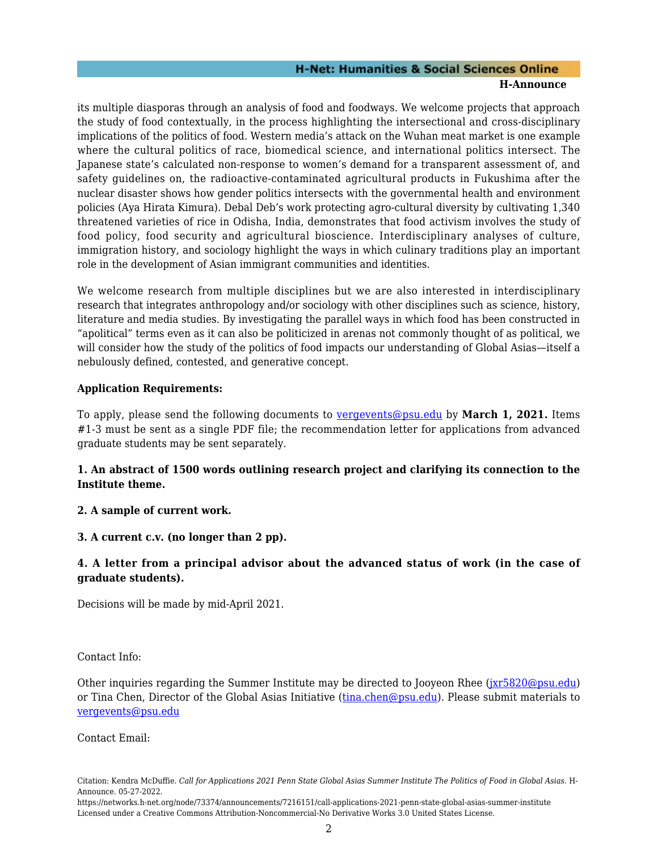#### **H-Net: Humanities & Social Sciences Online H-Announce**

its multiple diasporas through an analysis of food and foodways. We welcome projects that approach the study of food contextually, in the process highlighting the intersectional and cross-disciplinary implications of the politics of food. Western media's attack on the Wuhan meat market is one example where the cultural politics of race, biomedical science, and international politics intersect. The Japanese state's calculated non-response to women's demand for a transparent assessment of, and safety guidelines on, the radioactive-contaminated agricultural products in Fukushima after the nuclear disaster shows how gender politics intersects with the governmental health and environment policies (Aya Hirata Kimura). Debal Deb's work protecting agro-cultural diversity by cultivating 1,340 threatened varieties of rice in Odisha, India, demonstrates that food activism involves the study of food policy, food security and agricultural bioscience. Interdisciplinary analyses of culture, immigration history, and sociology highlight the ways in which culinary traditions play an important role in the development of Asian immigrant communities and identities.

We welcome research from multiple disciplines but we are also interested in interdisciplinary research that integrates anthropology and/or sociology with other disciplines such as science, history, literature and media studies. By investigating the parallel ways in which food has been constructed in "apolitical" terms even as it can also be politicized in arenas not commonly thought of as political, we will consider how the study of the politics of food impacts our understanding of Global Asias—itself a nebulously defined, contested, and generative concept.

#### **Application Requirements:**

To apply, please send the following documents to [vergevents@psu.edu](mailto:vergevents@psu.edu) by **March 1, 2021.** Items #1-3 must be sent as a single PDF file; the recommendation letter for applications from advanced graduate students may be sent separately.

# **1. An abstract of 1500 words outlining research project and clarifying its connection to the Institute theme.**

# **2. A sample of current work.**

#### **3. A current c.v. (no longer than 2 pp).**

# **4. A letter from a principal advisor about the advanced status of work (in the case of graduate students).**

Decisions will be made by mid-April 2021.

#### Contact Info:

Other inquiries regarding the Summer Institute may be directed to Jooyeon Rhee ([jxr5820@psu.edu](mailto:jxr5820@psu.edu)) or Tina Chen, Director of the Global Asias Initiative ([tina.chen@psu.edu](mailto:tina.chen@psu.edu)). Please submit materials to [vergevents@psu.edu](mailto:vergevents@psu.edu)

Contact Email:

https://networks.h-net.org/node/73374/announcements/7216151/call-applications-2021-penn-state-global-asias-summer-institute Licensed under a Creative Commons Attribution-Noncommercial-No Derivative Works 3.0 United States License.